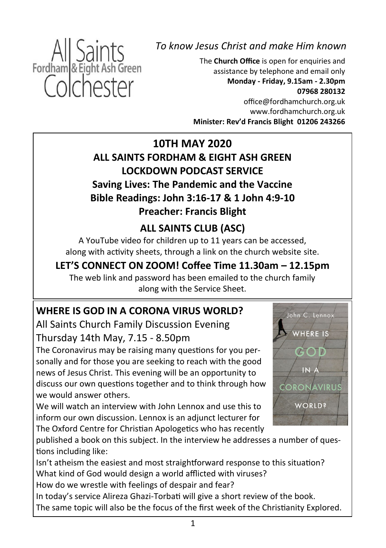# All Saints<br>Fordham & Eight Ash Green Colchester

*To know Jesus Christ and make Him known*

The **Church Office** is open for enquiries and assistance by telephone and email only **Monday - Friday, 9.15am - 2.30pm 07968 280132**

office@fordhamchurch.org.uk [www.fordhamchurch.org.uk](http://www.fordhamchurch.org.uk) **Minister: Rev'd Francis Blight 01206 243266**

# **10TH MAY 2020 ALL SAINTS FORDHAM & EIGHT ASH GREEN LOCKDOWN PODCAST SERVICE Saving Lives: The Pandemic and the Vaccine Bible Readings: John 3:16-17 & 1 John 4:9-10 Preacher: Francis Blight**

# **ALL SAINTS CLUB (ASC)**

A YouTube video for children up to 11 years can be accessed, along with activity sheets, through a link on the church website site.

## **LET'S CONNECT ON ZOOM! Coffee Time 11.30am – 12.15pm**

The web link and password has been emailed to the church family along with the Service Sheet.

## **WHERE IS GOD IN A CORONA VIRUS WORLD?**

All Saints Church Family Discussion Evening Thursday 14th May, 7.15 - 8.50pm

The Coronavirus may be raising many questions for you personally and for those you are seeking to reach with the good news of Jesus Christ. This evening will be an opportunity to discuss our own questions together and to think through how we would answer others.

We will watch an interview with John Lennox and use this to inform our own discussion. Lennox is an adjunct lecturer for The Oxford Centre for Christian Apologetics who has recently



published a book on this subject. In the interview he addresses a number of questions including like:

Isn't atheism the easiest and most straightforward response to this situation? What kind of God would design a world afflicted with viruses? How do we wrestle with feelings of despair and fear?

In today's service Alireza Ghazi-Torbati will give a short review of the book. The same topic will also be the focus of the first week of the Christianity Explored.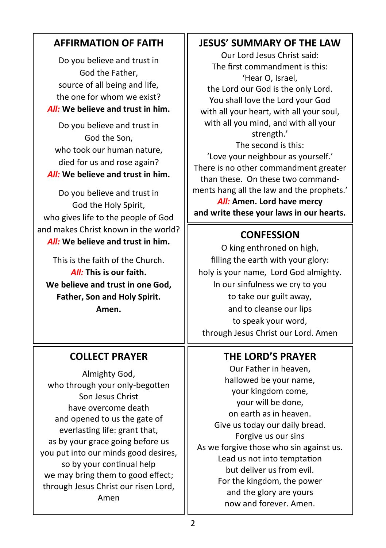## **AFFIRMATION OF FAITH**

Do you believe and trust in God the Father, source of all being and life, the one for whom we exist? *All:* **We believe and trust in him.**

Do you believe and trust in God the Son, who took our human nature, died for us and rose again? *All:* **We believe and trust in him.**

Do you believe and trust in God the Holy Spirit, who gives life to the people of God and makes Christ known in the world? *All:* **We believe and trust in him.**

This is the faith of the Church.

*All:* **This is our faith. We believe and trust in one God, Father, Son and Holy Spirit. Amen.**

## **JESUS' SUMMARY OF THE LAW**

Our Lord Jesus Christ said: The first commandment is this: 'Hear O, Israel, the Lord our God is the only Lord. You shall love the Lord your God with all your heart, with all your soul, with all you mind, and with all your strength.'

The second is this: 'Love your neighbour as yourself.' There is no other commandment greater than these. On these two commandments hang all the law and the prophets.'

*All:* **Amen. Lord have mercy and write these your laws in our hearts.**

## **CONFESSION**

O king enthroned on high, filling the earth with your glory: holy is your name, Lord God almighty. In our sinfulness we cry to you to take our guilt away, and to cleanse our lips to speak your word, through Jesus Christ our Lord. Amen

## **THE LORD'S PRAYER**

Our Father in heaven, hallowed be your name, your kingdom come, your will be done, on earth as in heaven. Give us today our daily bread. Forgive us our sins As we forgive those who sin against us. Lead us not into temptation but deliver us from evil. For the kingdom, the power and the glory are yours now and forever. Amen.

## **COLLECT PRAYER**

Almighty God, who through your only-begotten Son Jesus Christ have overcome death and opened to us the gate of everlasting life: grant that, as by your grace going before us you put into our minds good desires, so by your continual help we may bring them to good effect; through Jesus Christ our risen Lord, Amen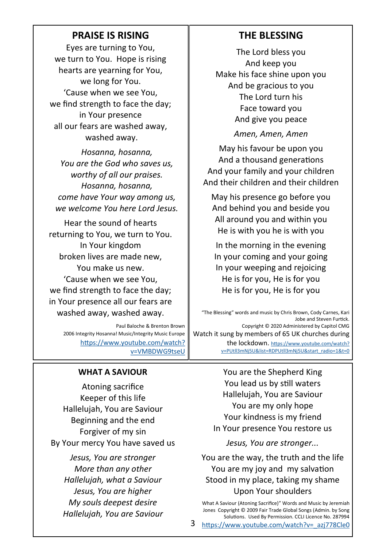#### **PRAISE IS RISING**

Eyes are turning to You, we turn to You. Hope is rising hearts are yearning for You, we long for You. 'Cause when we see You, we find strength to face the day; in Your presence all our fears are washed away, washed away.

 *Hosanna, hosanna, You are the God who saves us, worthy of all our praises. Hosanna, hosanna, come have Your way among us, we welcome You here Lord Jesus.*

Hear the sound of hearts returning to You, we turn to You. In Your kingdom broken lives are made new, You make us new. 'Cause when we see You, we find strength to face the day; in Your presence all our fears are washed away, washed away.

> Paul Baloche & Brenton Brown 2006 Integrity Hosanna! Music/Integrity Music Europe [https://www.youtube.com/watch?](https://www.youtube.com/watch?v=VMBDWG9tseU) [v=VMBDWG9tseU](https://www.youtube.com/watch?v=VMBDWG9tseU)

### **THE BLESSING**

The Lord bless you And keep you Make his face shine upon you And be gracious to you The Lord turn his Face toward you And give you peace

*Amen, Amen, Amen*

May his favour be upon you And a thousand generations And your family and your children And their children and their children

May his presence go before you And behind you and beside you All around you and within you He is with you he is with you

In the morning in the evening In your coming and your going In your weeping and rejoicing He is for you, He is for you He is for you, He is for you

"The Blessing" words and music by Chris Brown, Cody Carnes, Kari Jobe and Steven Furtick. Copyright © 2020 Administered by Capitol CMG Watch it sung by members of 65 UK churches during the lockdown. [https://www.youtube.com/watch?](https://www.youtube.com/watch?v=PUtll3mNj5U&list=RDPUtll3mNj5U&start_radio=1&t=0) [v=PUtll3mNj5U&list=RDPUtll3mNj5U&start\\_radio=1&t=0](https://www.youtube.com/watch?v=PUtll3mNj5U&list=RDPUtll3mNj5U&start_radio=1&t=0)

> You are the Shepherd King You lead us by still waters Hallelujah, You are Saviour You are my only hope Your kindness is my friend In Your presence You restore us

#### *Jesus, You are stronger...*

You are the way, the truth and the life You are my joy and my salvation Stood in my place, taking my shame Upon Your shoulders

What A Saviour (Atoning Sacrifice)" Words and Music by Jeremiah Jones Copyright © 2009 Fair Trade Global Songs (Admin. by Song Solutions. Used By Permission. CCLI Licence No. 287994

# **WHAT A SAVIOUR**

Atoning sacrifice Keeper of this life Hallelujah, You are Saviour Beginning and the end Forgiver of my sin By Your mercy You have saved us

*Jesus, You are stronger More than any other Hallelujah, what a Saviour Jesus, You are higher My souls deepest desire Hallelujah, You are Saviour*

3 [https://www.youtube.com/watch?v=\\_azj778Cle0](https://www.youtube.com/watch?v=_azj778Cle0)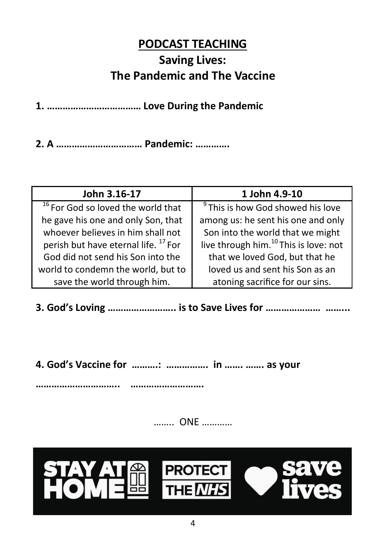# **PODCAST TEACHING Saving Lives: The Pandemic and The Vaccine**

**2. A …………………………… Pandemic: ………….**

| John 3.16-17                                    | 1 John 4.9-10                                     |
|-------------------------------------------------|---------------------------------------------------|
| <sup>16</sup> For God so loved the world that   | <sup>9</sup> This is how God showed his love      |
| he gave his one and only Son, that              | among us: he sent his one and only                |
| whoever believes in him shall not               | Son into the world that we might                  |
| perish but have eternal life. <sup>17</sup> For | live through him. <sup>10</sup> This is love: not |
| God did not send his Son into the               | that we loved God, but that he                    |
| world to condemn the world, but to              | loved us and sent his Son as an                   |
| save the world through him.                     | atoning sacrifice for our sins.                   |

**3. God's Loving …………………….. is to Save Lives for ………………… ……...**

**4. God's Vaccine for ……….: ……………. in ……. ……. as your** 

**………………………….. ……………………….**

…….. ONE …………

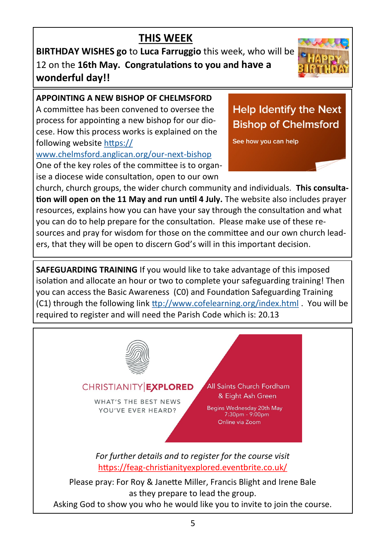# **THIS WEEK**

**BIRTHDAY WISHES go** to **Luca Farruggio** this week, who will be 12 on the **16th May. Congratulations to you and have a wonderful day!!**

#### **APPOINTING A NEW BISHOP OF CHELMSFORD**

A committee has been convened to oversee the process for appointing a new bishop for our diocese. How this process works is explained on the following website [https://](https://www.chelmsford.anglican.org/our-next-bishop)

[www.chelmsford.anglican.org/our](https://www.chelmsford.anglican.org/our-next-bishop)-next-bishop One of the key roles of the committee is to organise a diocese wide consultation, open to our own

church, church groups, the wider church community and individuals. **This consultation will open on the 11 May and run until 4 July.** The website also includes prayer resources, explains how you can have your say through the consultation and what you can do to help prepare for the consultation. Please make use of these resources and pray for wisdom for those on the committee and our own church leaders, that they will be open to discern God's will in this important decision.

**SAFEGUARDING TRAINING** If you would like to take advantage of this imposed isolation and allocate an hour or two to complete your safeguarding training! Then you can access the Basic Awareness (C0) and Foundation Safeguarding Training (C1) through the following link [ttp://www.cofelearning.org/index.html](http://www.cofelearning.org/index.html) . You will be required to register and will need the Parish Code which is: 20.13





**Help Identify the Next Bishop of Chelmsford** 

See how you can help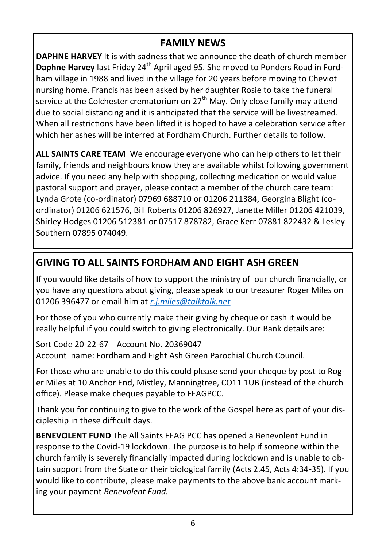## **FAMILY NEWS**

**DAPHNE HARVEY** It is with sadness that we announce the death of church member **Daphne Harvey** last Friday 24<sup>th</sup> April aged 95. She moved to Ponders Road in Fordham village in 1988 and lived in the village for 20 years before moving to Cheviot nursing home. Francis has been asked by her daughter Rosie to take the funeral service at the Colchester crematorium on 27<sup>th</sup> May. Only close family may attend due to social distancing and it is anticipated that the service will be livestreamed. When all restrictions have been lifted it is hoped to have a celebration service after which her ashes will be interred at Fordham Church. Further details to follow.

**ALL SAINTS CARE TEAM** We encourage everyone who can help others to let their family, friends and neighbours know they are available whilst following government advice. If you need any help with shopping, collecting medication or would value pastoral support and prayer, please contact a member of the church care team: Lynda Grote (co-ordinator) 07969 688710 or 01206 211384, Georgina Blight (coordinator) 01206 621576, Bill Roberts 01206 826927, Janette Miller 01206 421039, Shirley Hodges 01206 512381 or 07517 878782, Grace Kerr 07881 822432 & Lesley Southern 07895 074049.

# **GIVING TO ALL SAINTS FORDHAM AND EIGHT ASH GREEN**

If you would like details of how to support the ministry of our church financially, or you have any questions about giving, please speak to our treasurer Roger Miles on 01206 396477 or email him at *[r.j.miles@talktalk.net](mailto:r.j.miles@talktalk.net)*

For those of you who currently make their giving by cheque or cash it would be really helpful if you could switch to giving electronically. Our Bank details are:

Sort Code 20-22-67 Account No. 20369047 Account name: Fordham and Eight Ash Green Parochial Church Council.

For those who are unable to do this could please send your cheque by post to Roger Miles at 10 Anchor End, Mistley, Manningtree, CO11 1UB (instead of the church office). Please make cheques payable to FEAGPCC.

Thank you for continuing to give to the work of the Gospel here as part of your discipleship in these difficult days.

**BENEVOLENT FUND** The All Saints FEAG PCC has opened a Benevolent Fund in response to the Covid-19 lockdown. The purpose is to help if someone within the church family is severely financially impacted during lockdown and is unable to obtain support from the State or their biological family (Acts 2.45, Acts 4:34-35). If you would like to contribute, please make payments to the above bank account marking your payment *Benevolent Fund.*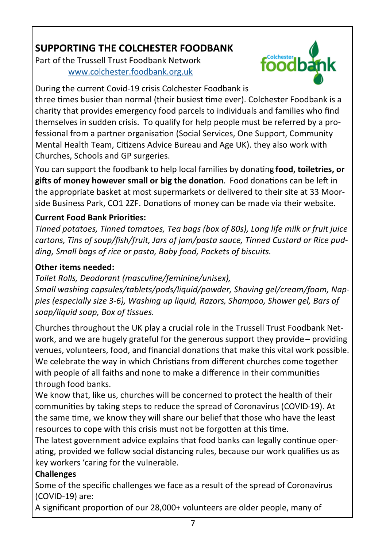# **SUPPORTING THE COLCHESTER FOODBANK**

Part of the Trussell Trust Foodbank Network [www.colchester.foodbank.org.uk](http://www.colchester.foodbank.org.uk)



During the current Covid-19 crisis Colchester Foodbank is

three times busier than normal (their busiest time ever). Colchester Foodbank is a charity that provides emergency food parcels to individuals and families who find themselves in sudden crisis. To qualify for help people must be referred by a professional from a partner organisation (Social Services, One Support, Community Mental Health Team, Citizens Advice Bureau and Age UK). they also work with Churches, Schools and GP surgeries.

You can support the foodbank to help local families by donating **food, toiletries, or gifts of money however small or big the donation**. Food donations can be left in the appropriate basket at most supermarkets or delivered to their site at 33 Moorside Business Park, CO1 2ZF. Donations of money can be made via their website.

#### **Current Food Bank Priorities:**

*Tinned potatoes, Tinned tomatoes, Tea bags (box of 80s), Long life milk or fruit juice cartons, Tins of soup/fish/fruit, Jars of jam/pasta sauce, Tinned Custard or Rice pudding, Small bags of rice or pasta, Baby food, Packets of biscuits.*

#### **Other items needed:**

*Toilet Rolls, Deodorant (masculine/feminine/unisex), Small washing capsules/tablets/pods/liquid/powder, Shaving gel/cream/foam, Nappies (especially size 3-6), Washing up liquid, Razors, Shampoo, Shower gel, Bars of soap/liquid soap, Box of tissues.*

Churches throughout the UK play a crucial role in the Trussell Trust Foodbank Network, and we are hugely grateful for the generous support they provide – providing venues, volunteers, food, and financial donations that make this vital work possible. We celebrate the way in which Christians from different churches come together with people of all faiths and none to make a difference in their communities through food banks.

We know that, like us, churches will be concerned to protect the health of their communities by taking steps to reduce the spread of Coronavirus (COVID-19). At the same time, we know they will share our belief that those who have the least resources to cope with this crisis must not be forgotten at this time.

The latest government advice explains that food banks can legally continue operating, provided we follow social distancing rules, because our work qualifies us as key workers 'caring for the vulnerable.

#### **Challenges**

Some of the specific challenges we face as a result of the spread of Coronavirus (COVID-19) are:

A significant proportion of our 28,000+ volunteers are older people, many of